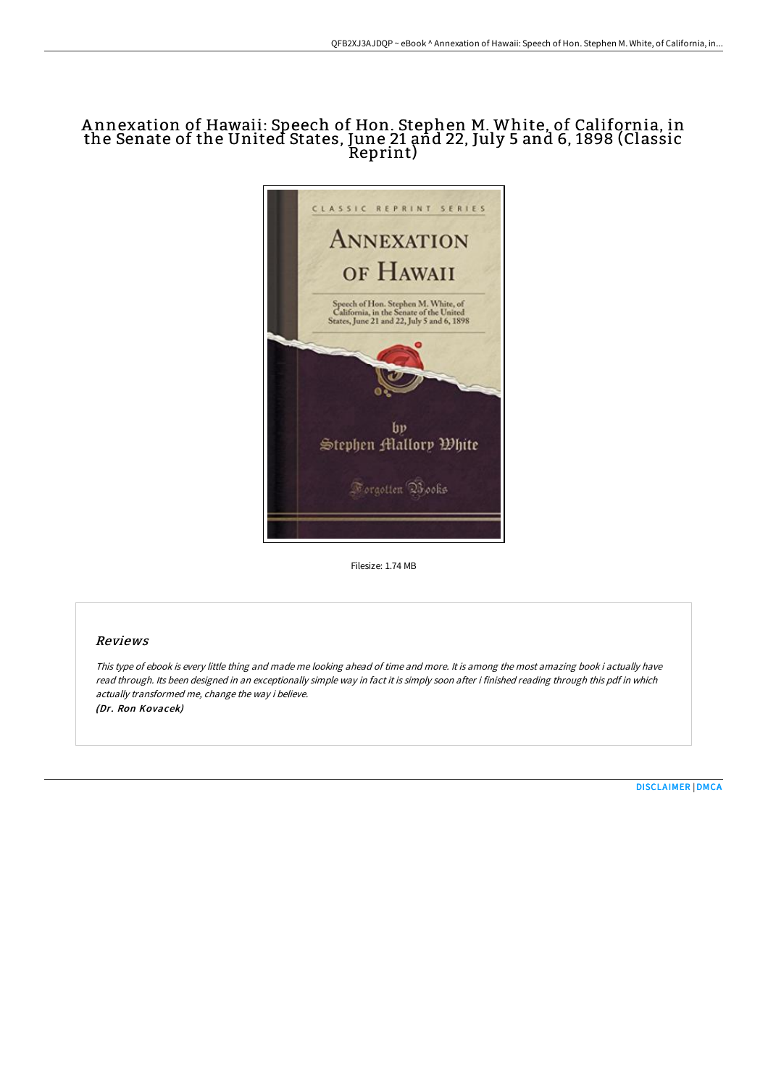## A nnexation of Hawaii: Speech of Hon. Stephen M. White, of California, in the Senate of the United States, June 21 and 22, July 5 and 6, 1898 (Classic Reprint)



Filesize: 1.74 MB

## Reviews

This type of ebook is every little thing and made me looking ahead of time and more. It is among the most amazing book i actually have read through. Its been designed in an exceptionally simple way in fact it is simply soon after i finished reading through this pdf in which actually transformed me, change the way i believe. (Dr. Ron Kovacek)

[DISCLAIMER](http://digilib.live/disclaimer.html) | [DMCA](http://digilib.live/dmca.html)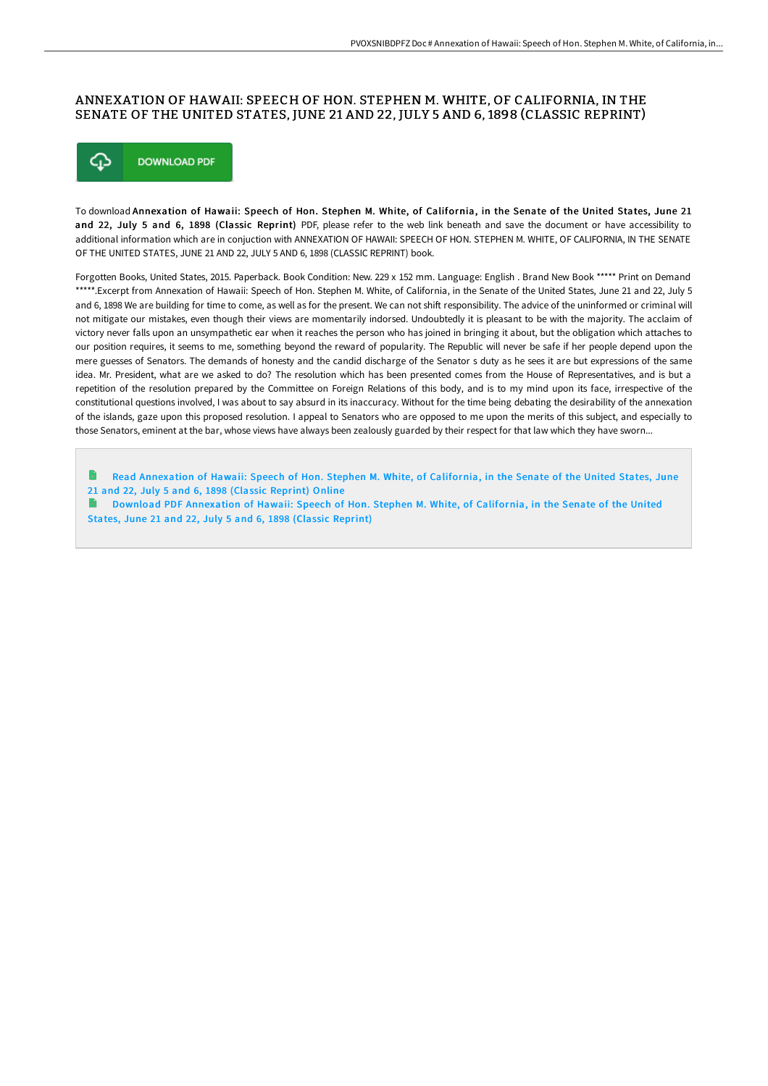## ANNEXATION OF HAWAII: SPEECH OF HON. STEPHEN M. WHITE, OF CALIFORNIA, IN THE SENATE OF THE UNITED STATES, JUNE 21 AND 22, JULY 5 AND 6, 1898 (CLASSIC REPRINT)



To download Annexation of Hawaii: Speech of Hon. Stephen M. White, of California, in the Senate of the United States, June 21 and 22, July 5 and 6, 1898 (Classic Reprint) PDF, please refer to the web link beneath and save the document or have accessibility to additional information which are in conjuction with ANNEXATION OF HAWAII: SPEECH OF HON. STEPHEN M. WHITE, OF CALIFORNIA, IN THE SENATE OF THE UNITED STATES, JUNE 21 AND 22, JULY 5 AND 6, 1898 (CLASSIC REPRINT) book.

Forgotten Books, United States, 2015. Paperback. Book Condition: New. 229 x 152 mm. Language: English . Brand New Book \*\*\*\*\* Print on Demand \*\*\*\*\*.Excerpt from Annexation of Hawaii: Speech of Hon. Stephen M. White, of California, in the Senate of the United States, June 21 and 22, July 5 and 6, 1898 We are building for time to come, as well as for the present. We can not shift responsibility. The advice of the uninformed or criminal will not mitigate our mistakes, even though their views are momentarily indorsed. Undoubtedly it is pleasant to be with the majority. The acclaim of victory never falls upon an unsympathetic ear when it reaches the person who has joined in bringing it about, but the obligation which attaches to our position requires, it seems to me, something beyond the reward of popularity. The Republic will never be safe if her people depend upon the mere guesses of Senators. The demands of honesty and the candid discharge of the Senator s duty as he sees it are but expressions of the same idea. Mr. President, what are we asked to do? The resolution which has been presented comes from the House of Representatives, and is but a repetition of the resolution prepared by the Committee on Foreign Relations of this body, and is to my mind upon its face, irrespective of the constitutional questions involved, I was about to say absurd in its inaccuracy. Without for the time being debating the desirability of the annexation of the islands, gaze upon this proposed resolution. I appeal to Senators who are opposed to me upon the merits of this subject, and especially to those Senators, eminent at the bar, whose views have always been zealously guarded by their respect for that law which they have sworn...

Read [Annexation](http://digilib.live/annexation-of-hawaii-speech-of-hon-stephen-m-whi.html) of Hawaii: Speech of Hon. Stephen M. White, of California, in the Senate of the United States, June 21 and 22, July 5 and 6, 1898 (Classic Reprint) Online

Download PDF [Annexation](http://digilib.live/annexation-of-hawaii-speech-of-hon-stephen-m-whi.html) of Hawaii: Speech of Hon. Stephen M. White, of California, in the Senate of the United States, June 21 and 22, July 5 and 6, 1898 (Classic Reprint)